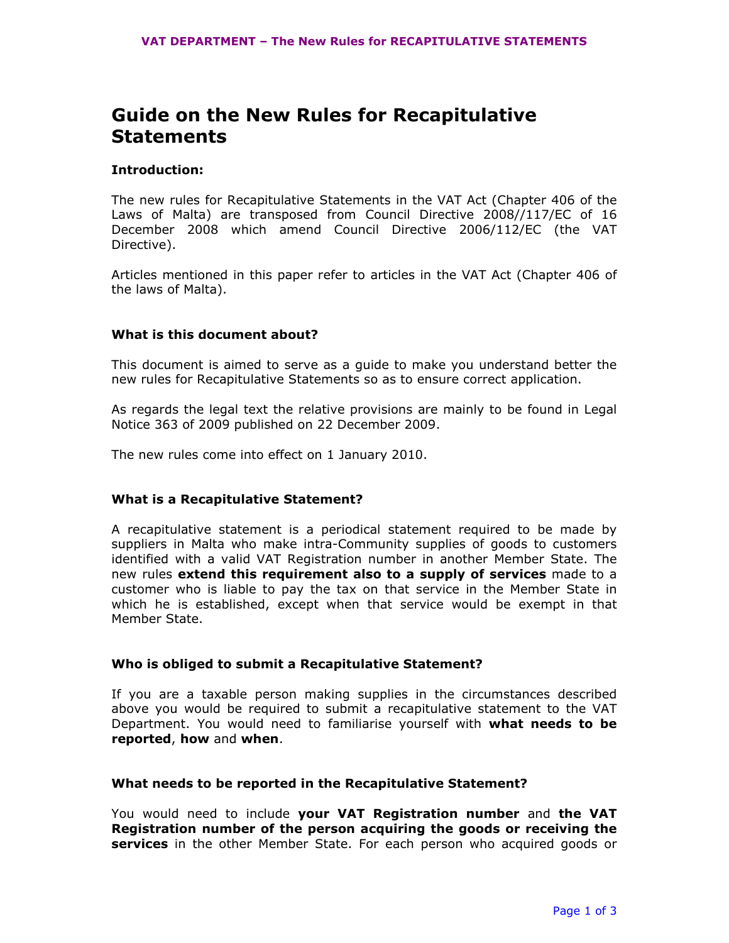# Guide on the New Rules for Recapitulative **Statements**

## Introduction:

The new rules for Recapitulative Statements in the VAT Act (Chapter 406 of the Laws of Malta) are transposed from Council Directive 2008//117/EC of 16 December 2008 which amend Council Directive 2006/112/EC (the VAT Directive).

Articles mentioned in this paper refer to articles in the VAT Act (Chapter 406 of the laws of Malta).

# What is this document about?

This document is aimed to serve as a guide to make you understand better the new rules for Recapitulative Statements so as to ensure correct application.

As regards the legal text the relative provisions are mainly to be found in Legal Notice 363 of 2009 published on 22 December 2009.

The new rules come into effect on 1 January 2010.

### What is a Recapitulative Statement?

A recapitulative statement is a periodical statement required to be made by suppliers in Malta who make intra-Community supplies of goods to customers identified with a valid VAT Registration number in another Member State. The new rules extend this requirement also to a supply of services made to a customer who is liable to pay the tax on that service in the Member State in which he is established, except when that service would be exempt in that Member State.

### Who is obliged to submit a Recapitulative Statement?

If you are a taxable person making supplies in the circumstances described above you would be required to submit a recapitulative statement to the VAT Department. You would need to familiarise yourself with what needs to be reported, how and when.

#### What needs to be reported in the Recapitulative Statement?

You would need to include your VAT Registration number and the VAT Registration number of the person acquiring the goods or receiving the services in the other Member State. For each person who acquired goods or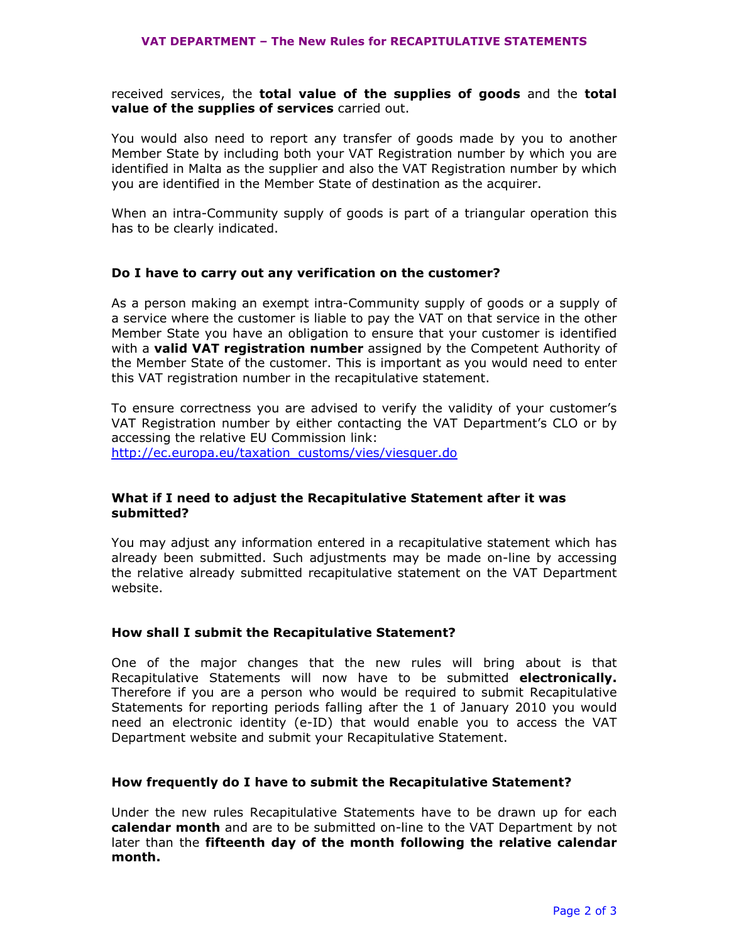received services, the **total value of the supplies of goods** and the **total** value of the supplies of services carried out.

You would also need to report any transfer of goods made by you to another Member State by including both your VAT Registration number by which you are identified in Malta as the supplier and also the VAT Registration number by which you are identified in the Member State of destination as the acquirer.

When an intra-Community supply of goods is part of a triangular operation this has to be clearly indicated.

## Do I have to carry out any verification on the customer?

As a person making an exempt intra-Community supply of goods or a supply of a service where the customer is liable to pay the VAT on that service in the other Member State you have an obligation to ensure that your customer is identified with a valid VAT registration number assigned by the Competent Authority of the Member State of the customer. This is important as you would need to enter this VAT registration number in the recapitulative statement.

To ensure correctness you are advised to verify the validity of your customer's VAT Registration number by either contacting the VAT Department's CLO or by accessing the relative EU Commission link: http://ec.europa.eu/taxation\_customs/vies/viesquer.do

# What if I need to adjust the Recapitulative Statement after it was submitted?

You may adjust any information entered in a recapitulative statement which has already been submitted. Such adjustments may be made on-line by accessing the relative already submitted recapitulative statement on the VAT Department website.

# How shall I submit the Recapitulative Statement?

One of the major changes that the new rules will bring about is that Recapitulative Statements will now have to be submitted electronically. Therefore if you are a person who would be required to submit Recapitulative Statements for reporting periods falling after the 1 of January 2010 you would need an electronic identity (e-ID) that would enable you to access the VAT Department website and submit your Recapitulative Statement.

#### How frequently do I have to submit the Recapitulative Statement?

Under the new rules Recapitulative Statements have to be drawn up for each calendar month and are to be submitted on-line to the VAT Department by not later than the fifteenth day of the month following the relative calendar month.